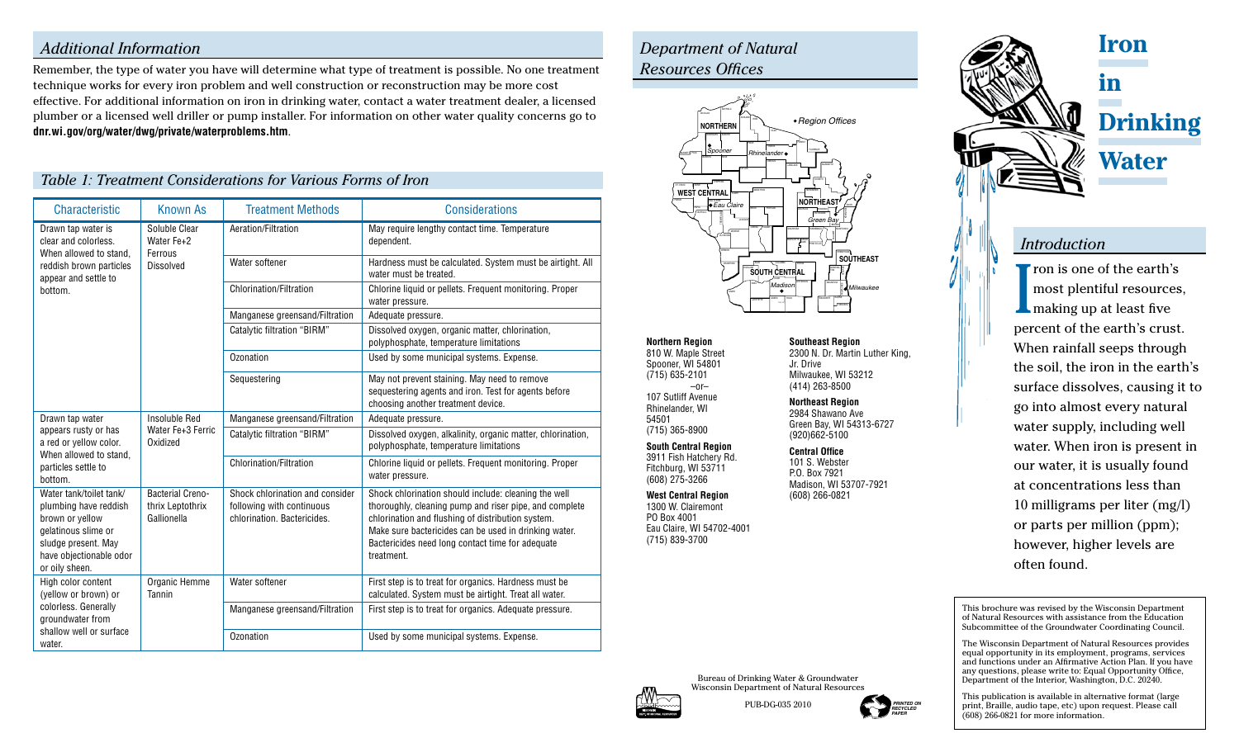#### *Additional Information*

Remember, the type of water you have will determine what type of treatment is possible. No one treatment technique works for every iron problem and well construction or reconstruction may be more cost effective. For additional information on iron in drinking water, contact a water treatment dealer, a licensed plumber or a licensed well driller or pump installer. For information on other water quality concerns go to **dnr.wi.gov/org/water/dwg/private/waterproblems.htm**.

#### *Table 1: Treatment Considerations for Various Forms of Iron*

| <b>Characteristic</b>                                                                                                                                          | <b>Known As</b>                                            | <b>Treatment Methods</b>                                                                    | Considerations                                                                                                                                                                                                                                                                                 |
|----------------------------------------------------------------------------------------------------------------------------------------------------------------|------------------------------------------------------------|---------------------------------------------------------------------------------------------|------------------------------------------------------------------------------------------------------------------------------------------------------------------------------------------------------------------------------------------------------------------------------------------------|
| Drawn tap water is<br>clear and colorless.<br>When allowed to stand.<br>reddish brown particles<br>appear and settle to<br>bottom.                             | Soluble Clear<br>Water Fe+2<br>Ferrous<br><b>Dissolved</b> | Aeration/Filtration                                                                         | May require lengthy contact time. Temperature<br>dependent.                                                                                                                                                                                                                                    |
|                                                                                                                                                                |                                                            | Water softener                                                                              | Hardness must be calculated. System must be airtight. All<br>water must be treated.                                                                                                                                                                                                            |
|                                                                                                                                                                |                                                            | <b>Chlorination/Filtration</b>                                                              | Chlorine liquid or pellets. Frequent monitoring. Proper<br>water pressure.                                                                                                                                                                                                                     |
|                                                                                                                                                                |                                                            | Manganese greensand/Filtration                                                              | Adequate pressure.                                                                                                                                                                                                                                                                             |
|                                                                                                                                                                |                                                            | <b>Catalytic filtration "BIRM"</b>                                                          | Dissolved oxygen, organic matter, chlorination,<br>polyphosphate, temperature limitations                                                                                                                                                                                                      |
|                                                                                                                                                                |                                                            | Ozonation                                                                                   | Used by some municipal systems. Expense.                                                                                                                                                                                                                                                       |
|                                                                                                                                                                |                                                            | Sequestering                                                                                | May not prevent staining. May need to remove<br>sequestering agents and iron. Test for agents before<br>choosing another treatment device.                                                                                                                                                     |
| Drawn tap water<br>appears rusty or has<br>a red or yellow color.<br>When allowed to stand,<br>particles settle to<br>bottom.                                  | Insoluble Red<br>Water Fe+3 Ferric<br>Oxidized             | Manganese greensand/Filtration                                                              | Adequate pressure.                                                                                                                                                                                                                                                                             |
|                                                                                                                                                                |                                                            | <b>Catalytic filtration "BIRM"</b>                                                          | Dissolved oxygen, alkalinity, organic matter, chlorination,<br>polyphosphate, temperature limitations                                                                                                                                                                                          |
|                                                                                                                                                                |                                                            | <b>Chlorination/Filtration</b>                                                              | Chlorine liquid or pellets. Frequent monitoring. Proper<br>water pressure.                                                                                                                                                                                                                     |
| Water tank/toilet tank/<br>plumbing have reddish<br>brown or yellow<br>gelatinous slime or<br>sludge present. May<br>have objectionable odor<br>or oily sheen. | <b>Bacterial Creno-</b><br>thrix Leptothrix<br>Gallionella | Shock chlorination and consider<br>following with continuous<br>chlorination. Bactericides. | Shock chlorination should include: cleaning the well<br>thoroughly, cleaning pump and riser pipe, and complete<br>chlorination and flushing of distribution system.<br>Make sure bactericides can be used in drinking water.<br>Bactericides need long contact time for adequate<br>treatment. |
| High color content<br>(yellow or brown) or<br>colorless. Generally<br>groundwater from<br>shallow well or surface<br>water.                                    | Organic Hemme<br>Tannin                                    | Water softener                                                                              | First step is to treat for organics. Hardness must be<br>calculated. System must be airtight. Treat all water.                                                                                                                                                                                 |
|                                                                                                                                                                |                                                            | Manganese greensand/Filtration                                                              | First step is to treat for organics. Adequate pressure.                                                                                                                                                                                                                                        |
|                                                                                                                                                                |                                                            | Ozonation                                                                                   | Used by some municipal systems. Expense.                                                                                                                                                                                                                                                       |

## *Department of Natural Resources Offices*



**Northern Region** 810 W. Maple Street Spooner, WI 54801 107 Sutliff Avenue Jr. Drive

**Central Office** 101 S. Webster P.O. Box 7921 Madison, WI 53707-7921

# (608) 266-0821

**Southeast Region** 2300 N. Dr. Martin Luther King, Milwaukee, WI 53212 (414) 263-8500

**Northeast Region** 2984 Shawano Ave Green Bay, WI 54313-6727 (920)662-5100

**in Drinking Water**

**Iron**

#### *Introduction*

I **T** ron is one of the earth's most plentiful resources, making up at least five percent of the earth's crust. When rainfall seeps through the soil, the iron in the earth's surface dissolves, causing it to go into almost every natural water supply, including well water. When iron is present in our water, it is usually found at concentrations less than 10 milligrams per liter (mg/l) or parts per million (ppm); however, higher levels are often found.

This brochure was revised by the Wisconsin Department of Natural Resources with assistance from the Education Subcommittee of the Groundwater Coordinating Council.

The Wisconsin Department of Natural Resources provides equal opportunity in its employment, programs, services and functions under an Affirmative Action Plan. If you have any questions, please write to: Equal Opportunity Office, Department of the Interior, Washington, D.C. 20240.

This publication is available in alternative format (large print, Braille, audio tape, etc) upon request. Please call (608) 266-0821 for more information.



(715) 635-2101

Rhinelander, WI 54501 (715) 365-8900 **South Central Region** 3911 Fish Hatchery Rd. Fitchburg, WI 53711 (608) 275-3266 **West Central Region** 1300 W. Clairemont PO Box 4001

 $-$ or $-$ 

Eau Claire, WI 54702-4001 (715) 839-3700

PUB-DG-035 2010

Bureau of Drinking Water & Groundwater





 *PRINTED ON RECYCLED PAPER*